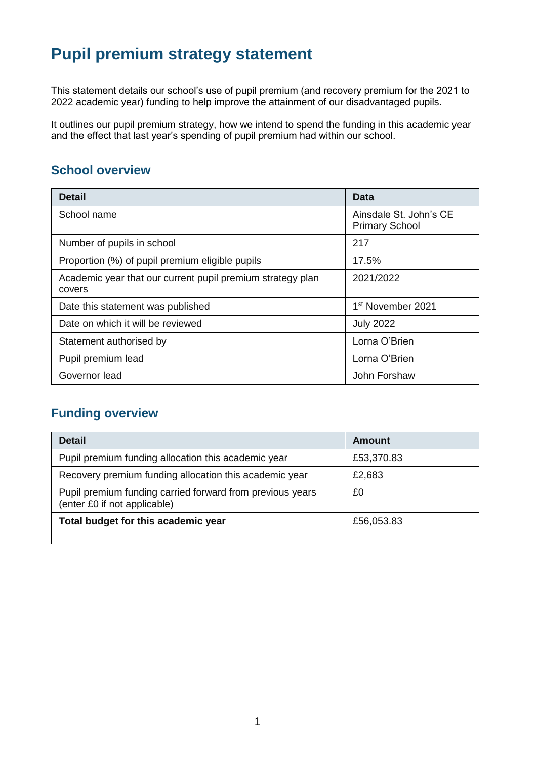# **Pupil premium strategy statement**

This statement details our school's use of pupil premium (and recovery premium for the 2021 to 2022 academic year) funding to help improve the attainment of our disadvantaged pupils.

It outlines our pupil premium strategy, how we intend to spend the funding in this academic year and the effect that last year's spending of pupil premium had within our school.

#### **School overview**

| <b>Detail</b>                                                        | Data                                            |
|----------------------------------------------------------------------|-------------------------------------------------|
| School name                                                          | Ainsdale St. John's CE<br><b>Primary School</b> |
| Number of pupils in school                                           | 217                                             |
| Proportion (%) of pupil premium eligible pupils                      | 17.5%                                           |
| Academic year that our current pupil premium strategy plan<br>covers | 2021/2022                                       |
| Date this statement was published                                    | 1 <sup>st</sup> November 2021                   |
| Date on which it will be reviewed                                    | <b>July 2022</b>                                |
| Statement authorised by                                              | Lorna O'Brien                                   |
| Pupil premium lead                                                   | Lorna O'Brien                                   |
| Governor lead                                                        | John Forshaw                                    |

### **Funding overview**

| <b>Detail</b>                                                                             | Amount     |
|-------------------------------------------------------------------------------------------|------------|
| Pupil premium funding allocation this academic year                                       | £53,370.83 |
| Recovery premium funding allocation this academic year                                    | £2,683     |
| Pupil premium funding carried forward from previous years<br>(enter £0 if not applicable) | £0         |
| Total budget for this academic year                                                       | £56,053.83 |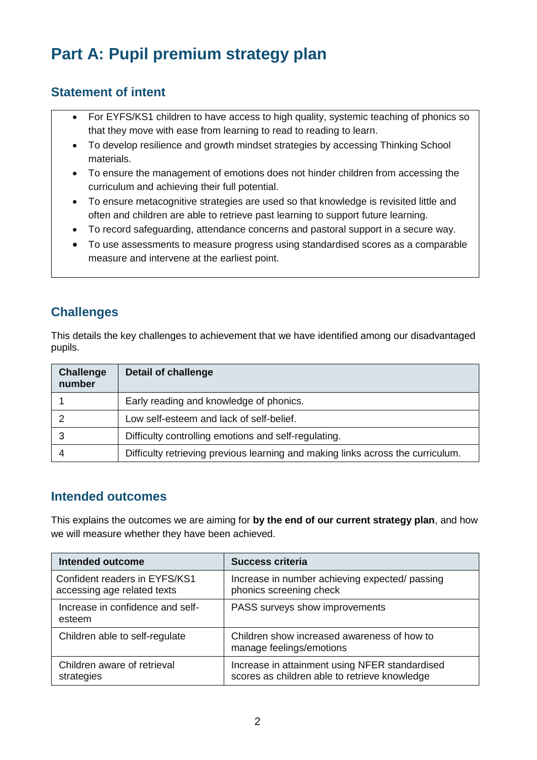# **Part A: Pupil premium strategy plan**

#### **Statement of intent**

- For EYFS/KS1 children to have access to high quality, systemic teaching of phonics so that they move with ease from learning to read to reading to learn.
- To develop resilience and growth mindset strategies by accessing Thinking School materials.
- To ensure the management of emotions does not hinder children from accessing the curriculum and achieving their full potential.
- To ensure metacognitive strategies are used so that knowledge is revisited little and often and children are able to retrieve past learning to support future learning.
- To record safeguarding, attendance concerns and pastoral support in a secure way.
- To use assessments to measure progress using standardised scores as a comparable measure and intervene at the earliest point.

#### **Challenges**

This details the key challenges to achievement that we have identified among our disadvantaged pupils.

| <b>Challenge</b><br>number | <b>Detail of challenge</b>                                                      |
|----------------------------|---------------------------------------------------------------------------------|
|                            | Early reading and knowledge of phonics.                                         |
|                            | Low self-esteem and lack of self-belief.                                        |
|                            | Difficulty controlling emotions and self-regulating.                            |
|                            | Difficulty retrieving previous learning and making links across the curriculum. |

#### **Intended outcomes**

This explains the outcomes we are aiming for **by the end of our current strategy plan**, and how we will measure whether they have been achieved.

| Intended outcome                                             | <b>Success criteria</b>                                                                         |
|--------------------------------------------------------------|-------------------------------------------------------------------------------------------------|
| Confident readers in EYFS/KS1<br>accessing age related texts | Increase in number achieving expected/ passing<br>phonics screening check                       |
| Increase in confidence and self-<br>esteem                   | PASS surveys show improvements                                                                  |
| Children able to self-regulate                               | Children show increased awareness of how to<br>manage feelings/emotions                         |
| Children aware of retrieval<br>strategies                    | Increase in attainment using NFER standardised<br>scores as children able to retrieve knowledge |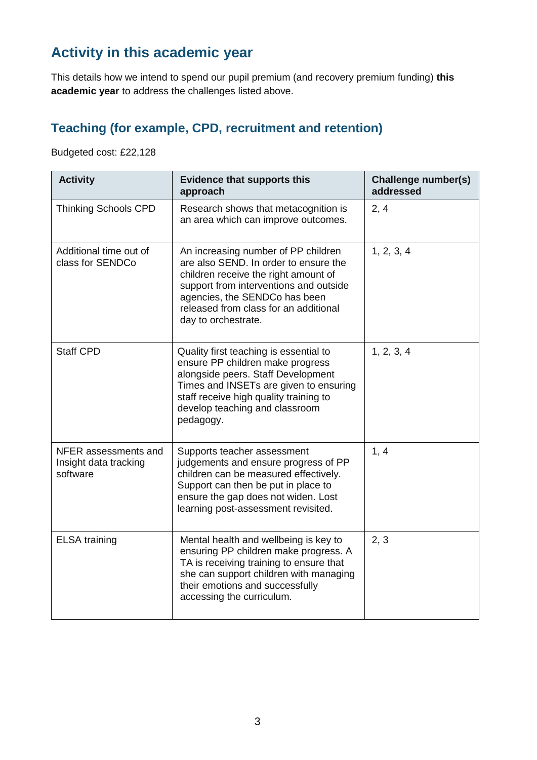# **Activity in this academic year**

This details how we intend to spend our pupil premium (and recovery premium funding) **this academic year** to address the challenges listed above.

### **Teaching (for example, CPD, recruitment and retention)**

Budgeted cost: £22,128

| <b>Activity</b>                                           | <b>Evidence that supports this</b><br>approach                                                                                                                                                                                                                  | <b>Challenge number(s)</b><br>addressed |
|-----------------------------------------------------------|-----------------------------------------------------------------------------------------------------------------------------------------------------------------------------------------------------------------------------------------------------------------|-----------------------------------------|
| <b>Thinking Schools CPD</b>                               | Research shows that metacognition is<br>an area which can improve outcomes.                                                                                                                                                                                     | 2, 4                                    |
| Additional time out of<br>class for SENDCo                | An increasing number of PP children<br>are also SEND. In order to ensure the<br>children receive the right amount of<br>support from interventions and outside<br>agencies, the SENDCo has been<br>released from class for an additional<br>day to orchestrate. | 1, 2, 3, 4                              |
| <b>Staff CPD</b>                                          | Quality first teaching is essential to<br>ensure PP children make progress<br>alongside peers. Staff Development<br>Times and INSETs are given to ensuring<br>staff receive high quality training to<br>develop teaching and classroom<br>pedagogy.             | 1, 2, 3, 4                              |
| NFER assessments and<br>Insight data tracking<br>software | Supports teacher assessment<br>judgements and ensure progress of PP<br>children can be measured effectively.<br>Support can then be put in place to<br>ensure the gap does not widen. Lost<br>learning post-assessment revisited.                               | 1, 4                                    |
| <b>ELSA</b> training                                      | Mental health and wellbeing is key to<br>ensuring PP children make progress. A<br>TA is receiving training to ensure that<br>she can support children with managing<br>their emotions and successfully<br>accessing the curriculum.                             | 2, 3                                    |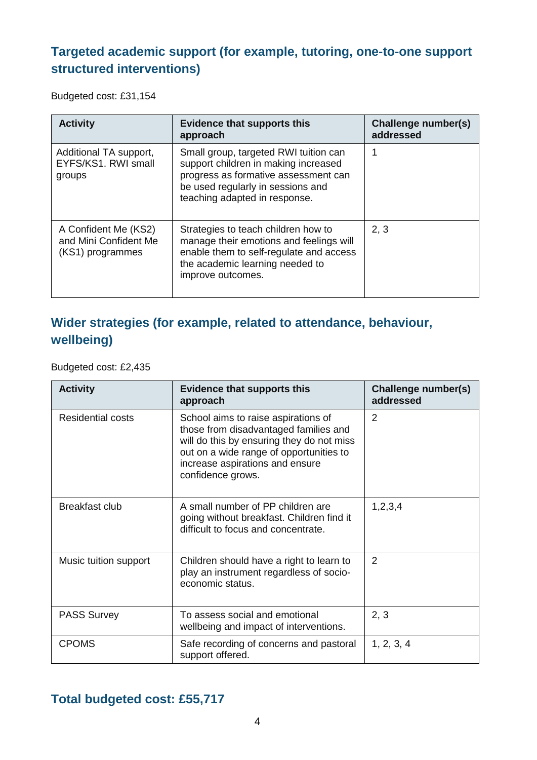## **Targeted academic support (for example, tutoring, one-to-one support structured interventions)**

Budgeted cost: £31,154

| <b>Activity</b>                                                   | <b>Evidence that supports this</b><br>approach                                                                                                                                              | Challenge number(s)<br>addressed |
|-------------------------------------------------------------------|---------------------------------------------------------------------------------------------------------------------------------------------------------------------------------------------|----------------------------------|
| Additional TA support,<br>EYFS/KS1, RWI small<br>groups           | Small group, targeted RWI tuition can<br>support children in making increased<br>progress as formative assessment can<br>be used regularly in sessions and<br>teaching adapted in response. | 1                                |
| A Confident Me (KS2)<br>and Mini Confident Me<br>(KS1) programmes | Strategies to teach children how to<br>manage their emotions and feelings will<br>enable them to self-regulate and access<br>the academic learning needed to<br>improve outcomes.           | 2, 3                             |

### **Wider strategies (for example, related to attendance, behaviour, wellbeing)**

Budgeted cost: £2,435

| <b>Activity</b>       | <b>Evidence that supports this</b><br>approach                                                                                                                                                                               | Challenge number(s)<br>addressed |
|-----------------------|------------------------------------------------------------------------------------------------------------------------------------------------------------------------------------------------------------------------------|----------------------------------|
| Residential costs     | School aims to raise aspirations of<br>those from disadvantaged families and<br>will do this by ensuring they do not miss<br>out on a wide range of opportunities to<br>increase aspirations and ensure<br>confidence grows. | $\overline{2}$                   |
| Breakfast club        | A small number of PP children are<br>going without breakfast. Children find it<br>difficult to focus and concentrate.                                                                                                        | 1,2,3,4                          |
| Music tuition support | Children should have a right to learn to<br>play an instrument regardless of socio-<br>economic status.                                                                                                                      | 2                                |
| <b>PASS Survey</b>    | To assess social and emotional<br>wellbeing and impact of interventions.                                                                                                                                                     | 2, 3                             |
| <b>CPOMS</b>          | Safe recording of concerns and pastoral<br>support offered.                                                                                                                                                                  | 1, 2, 3, 4                       |

### **Total budgeted cost: £55,717**